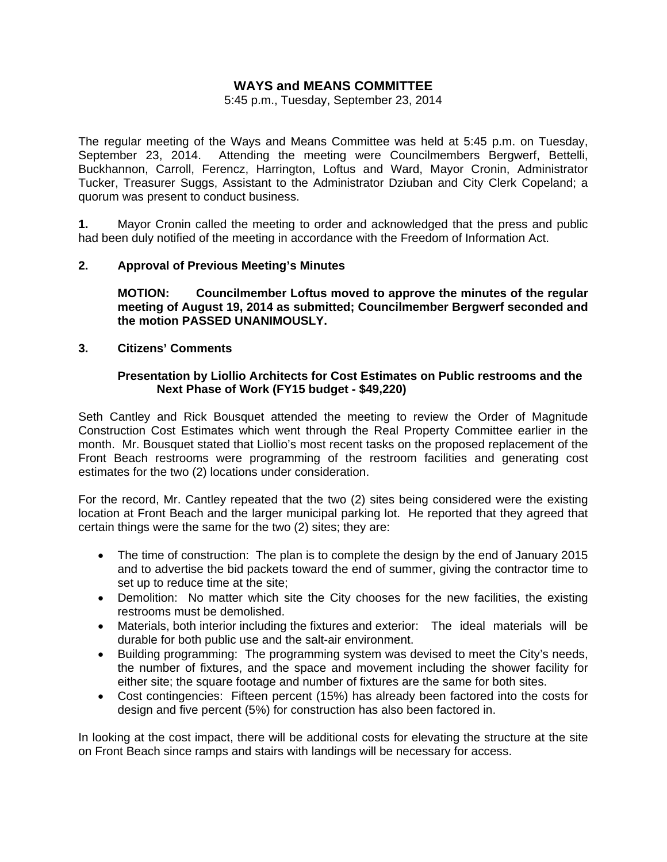# **WAYS and MEANS COMMITTEE**

5:45 p.m., Tuesday, September 23, 2014

The regular meeting of the Ways and Means Committee was held at 5:45 p.m. on Tuesday, September 23, 2014. Attending the meeting were Councilmembers Bergwerf, Bettelli, Buckhannon, Carroll, Ferencz, Harrington, Loftus and Ward, Mayor Cronin, Administrator Tucker, Treasurer Suggs, Assistant to the Administrator Dziuban and City Clerk Copeland; a quorum was present to conduct business.

**1.** Mayor Cronin called the meeting to order and acknowledged that the press and public had been duly notified of the meeting in accordance with the Freedom of Information Act.

### **2. Approval of Previous Meeting's Minutes**

 **MOTION: Councilmember Loftus moved to approve the minutes of the regular meeting of August 19, 2014 as submitted; Councilmember Bergwerf seconded and the motion PASSED UNANIMOUSLY.** 

#### **3. Citizens' Comments**

#### **Presentation by Liollio Architects for Cost Estimates on Public restrooms and the Next Phase of Work (FY15 budget - \$49,220)**

Seth Cantley and Rick Bousquet attended the meeting to review the Order of Magnitude Construction Cost Estimates which went through the Real Property Committee earlier in the month. Mr. Bousquet stated that Liollio's most recent tasks on the proposed replacement of the Front Beach restrooms were programming of the restroom facilities and generating cost estimates for the two (2) locations under consideration.

For the record, Mr. Cantley repeated that the two (2) sites being considered were the existing location at Front Beach and the larger municipal parking lot. He reported that they agreed that certain things were the same for the two (2) sites; they are:

- The time of construction: The plan is to complete the design by the end of January 2015 and to advertise the bid packets toward the end of summer, giving the contractor time to set up to reduce time at the site;
- Demolition: No matter which site the City chooses for the new facilities, the existing restrooms must be demolished.
- Materials, both interior including the fixtures and exterior: The ideal materials will be durable for both public use and the salt-air environment.
- Building programming: The programming system was devised to meet the City's needs, the number of fixtures, and the space and movement including the shower facility for either site; the square footage and number of fixtures are the same for both sites.
- Cost contingencies: Fifteen percent (15%) has already been factored into the costs for design and five percent (5%) for construction has also been factored in.

In looking at the cost impact, there will be additional costs for elevating the structure at the site on Front Beach since ramps and stairs with landings will be necessary for access.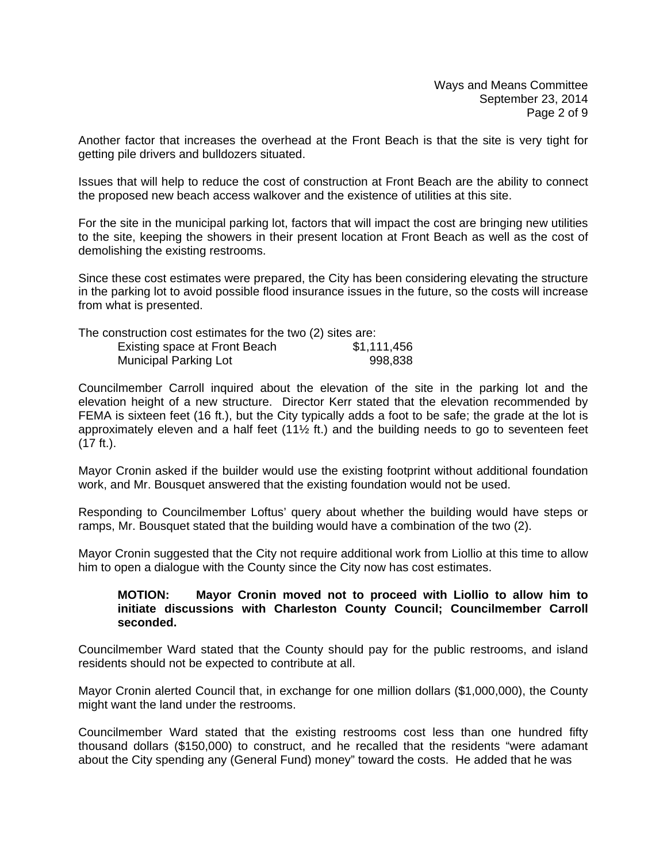Another factor that increases the overhead at the Front Beach is that the site is very tight for getting pile drivers and bulldozers situated.

Issues that will help to reduce the cost of construction at Front Beach are the ability to connect the proposed new beach access walkover and the existence of utilities at this site.

For the site in the municipal parking lot, factors that will impact the cost are bringing new utilities to the site, keeping the showers in their present location at Front Beach as well as the cost of demolishing the existing restrooms.

Since these cost estimates were prepared, the City has been considering elevating the structure in the parking lot to avoid possible flood insurance issues in the future, so the costs will increase from what is presented.

| The construction cost estimates for the two (2) sites are: |             |
|------------------------------------------------------------|-------------|
| Existing space at Front Beach                              | \$1,111,456 |
| <b>Municipal Parking Lot</b>                               | 998,838     |

Councilmember Carroll inquired about the elevation of the site in the parking lot and the elevation height of a new structure. Director Kerr stated that the elevation recommended by FEMA is sixteen feet (16 ft.), but the City typically adds a foot to be safe; the grade at the lot is approximately eleven and a half feet (11½ ft.) and the building needs to go to seventeen feet (17 ft.).

Mayor Cronin asked if the builder would use the existing footprint without additional foundation work, and Mr. Bousquet answered that the existing foundation would not be used.

Responding to Councilmember Loftus' query about whether the building would have steps or ramps, Mr. Bousquet stated that the building would have a combination of the two (2).

Mayor Cronin suggested that the City not require additional work from Liollio at this time to allow him to open a dialogue with the County since the City now has cost estimates.

#### **MOTION: Mayor Cronin moved not to proceed with Liollio to allow him to initiate discussions with Charleston County Council; Councilmember Carroll seconded.**

Councilmember Ward stated that the County should pay for the public restrooms, and island residents should not be expected to contribute at all.

Mayor Cronin alerted Council that, in exchange for one million dollars (\$1,000,000), the County might want the land under the restrooms.

Councilmember Ward stated that the existing restrooms cost less than one hundred fifty thousand dollars (\$150,000) to construct, and he recalled that the residents "were adamant about the City spending any (General Fund) money" toward the costs. He added that he was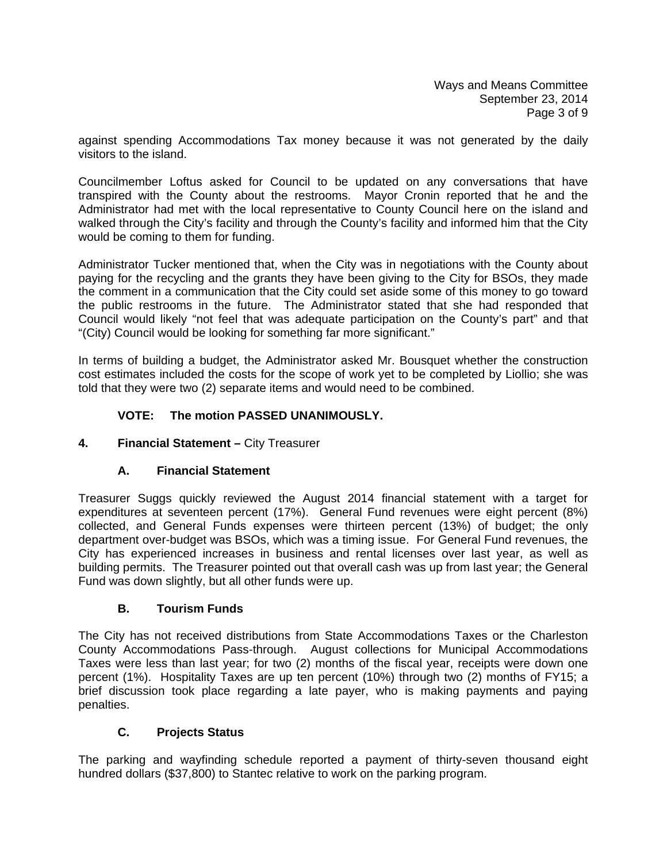against spending Accommodations Tax money because it was not generated by the daily visitors to the island.

Councilmember Loftus asked for Council to be updated on any conversations that have transpired with the County about the restrooms. Mayor Cronin reported that he and the Administrator had met with the local representative to County Council here on the island and walked through the City's facility and through the County's facility and informed him that the City would be coming to them for funding.

Administrator Tucker mentioned that, when the City was in negotiations with the County about paying for the recycling and the grants they have been giving to the City for BSOs, they made the comment in a communication that the City could set aside some of this money to go toward the public restrooms in the future. The Administrator stated that she had responded that Council would likely "not feel that was adequate participation on the County's part" and that "(City) Council would be looking for something far more significant."

In terms of building a budget, the Administrator asked Mr. Bousquet whether the construction cost estimates included the costs for the scope of work yet to be completed by Liollio; she was told that they were two (2) separate items and would need to be combined.

# **VOTE: The motion PASSED UNANIMOUSLY.**

## **4. Financial Statement –** City Treasurer

## **A. Financial Statement**

Treasurer Suggs quickly reviewed the August 2014 financial statement with a target for expenditures at seventeen percent (17%). General Fund revenues were eight percent (8%) collected, and General Funds expenses were thirteen percent (13%) of budget; the only department over-budget was BSOs, which was a timing issue. For General Fund revenues, the City has experienced increases in business and rental licenses over last year, as well as building permits. The Treasurer pointed out that overall cash was up from last year; the General Fund was down slightly, but all other funds were up.

## **B. Tourism Funds**

The City has not received distributions from State Accommodations Taxes or the Charleston County Accommodations Pass-through. August collections for Municipal Accommodations Taxes were less than last year; for two (2) months of the fiscal year, receipts were down one percent (1%). Hospitality Taxes are up ten percent (10%) through two (2) months of FY15; a brief discussion took place regarding a late payer, who is making payments and paying penalties.

## **C. Projects Status**

The parking and wayfinding schedule reported a payment of thirty-seven thousand eight hundred dollars (\$37,800) to Stantec relative to work on the parking program.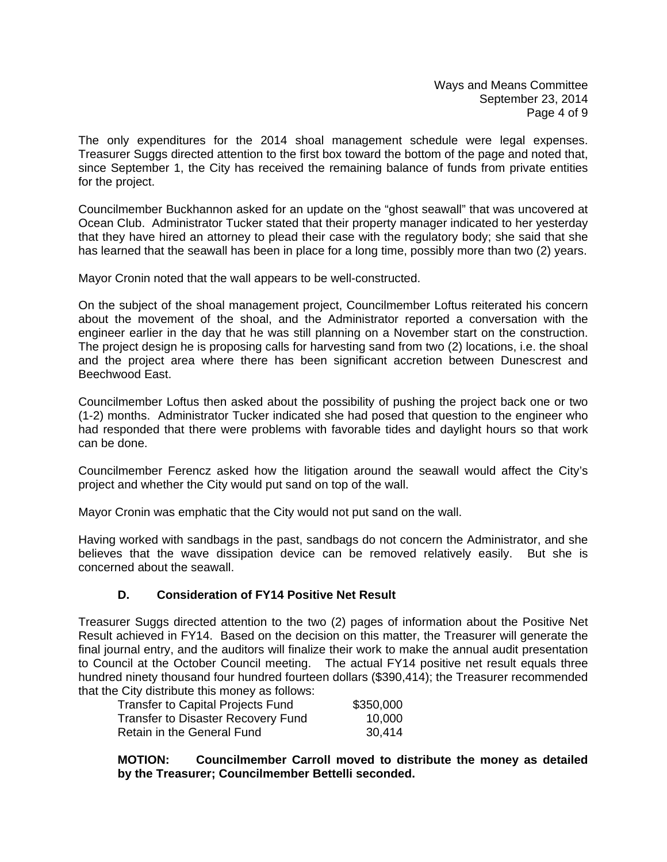Ways and Means Committee September 23, 2014 Page 4 of 9

The only expenditures for the 2014 shoal management schedule were legal expenses. Treasurer Suggs directed attention to the first box toward the bottom of the page and noted that, since September 1, the City has received the remaining balance of funds from private entities for the project.

Councilmember Buckhannon asked for an update on the "ghost seawall" that was uncovered at Ocean Club. Administrator Tucker stated that their property manager indicated to her yesterday that they have hired an attorney to plead their case with the regulatory body; she said that she has learned that the seawall has been in place for a long time, possibly more than two (2) years.

Mayor Cronin noted that the wall appears to be well-constructed.

On the subject of the shoal management project, Councilmember Loftus reiterated his concern about the movement of the shoal, and the Administrator reported a conversation with the engineer earlier in the day that he was still planning on a November start on the construction. The project design he is proposing calls for harvesting sand from two (2) locations, i.e. the shoal and the project area where there has been significant accretion between Dunescrest and Beechwood East.

Councilmember Loftus then asked about the possibility of pushing the project back one or two (1-2) months. Administrator Tucker indicated she had posed that question to the engineer who had responded that there were problems with favorable tides and daylight hours so that work can be done.

Councilmember Ferencz asked how the litigation around the seawall would affect the City's project and whether the City would put sand on top of the wall.

Mayor Cronin was emphatic that the City would not put sand on the wall.

Having worked with sandbags in the past, sandbags do not concern the Administrator, and she believes that the wave dissipation device can be removed relatively easily. But she is concerned about the seawall.

## **D. Consideration of FY14 Positive Net Result**

Treasurer Suggs directed attention to the two (2) pages of information about the Positive Net Result achieved in FY14. Based on the decision on this matter, the Treasurer will generate the final journal entry, and the auditors will finalize their work to make the annual audit presentation to Council at the October Council meeting. The actual FY14 positive net result equals three hundred ninety thousand four hundred fourteen dollars (\$390,414); the Treasurer recommended that the City distribute this money as follows:

| <b>Transfer to Capital Projects Fund</b> | \$350,000 |
|------------------------------------------|-----------|
| Transfer to Disaster Recovery Fund       | 10,000    |
| Retain in the General Fund               | 30,414    |

**MOTION: Councilmember Carroll moved to distribute the money as detailed by the Treasurer; Councilmember Bettelli seconded.**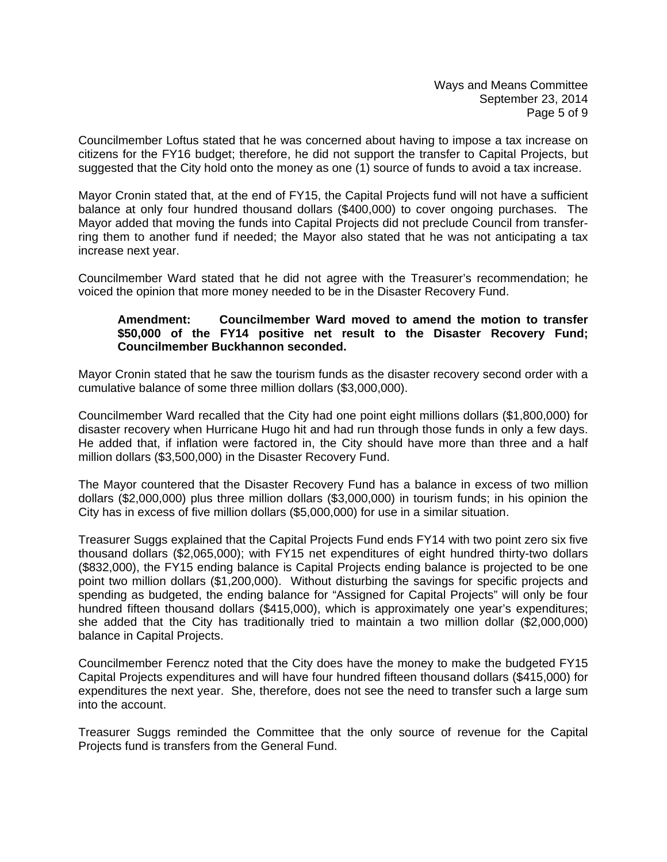Councilmember Loftus stated that he was concerned about having to impose a tax increase on citizens for the FY16 budget; therefore, he did not support the transfer to Capital Projects, but suggested that the City hold onto the money as one (1) source of funds to avoid a tax increase.

Mayor Cronin stated that, at the end of FY15, the Capital Projects fund will not have a sufficient balance at only four hundred thousand dollars (\$400,000) to cover ongoing purchases. The Mayor added that moving the funds into Capital Projects did not preclude Council from transferring them to another fund if needed; the Mayor also stated that he was not anticipating a tax increase next year.

Councilmember Ward stated that he did not agree with the Treasurer's recommendation; he voiced the opinion that more money needed to be in the Disaster Recovery Fund.

### **Amendment: Councilmember Ward moved to amend the motion to transfer \$50,000 of the FY14 positive net result to the Disaster Recovery Fund; Councilmember Buckhannon seconded.**

Mayor Cronin stated that he saw the tourism funds as the disaster recovery second order with a cumulative balance of some three million dollars (\$3,000,000).

Councilmember Ward recalled that the City had one point eight millions dollars (\$1,800,000) for disaster recovery when Hurricane Hugo hit and had run through those funds in only a few days. He added that, if inflation were factored in, the City should have more than three and a half million dollars (\$3,500,000) in the Disaster Recovery Fund.

The Mayor countered that the Disaster Recovery Fund has a balance in excess of two million dollars (\$2,000,000) plus three million dollars (\$3,000,000) in tourism funds; in his opinion the City has in excess of five million dollars (\$5,000,000) for use in a similar situation.

Treasurer Suggs explained that the Capital Projects Fund ends FY14 with two point zero six five thousand dollars (\$2,065,000); with FY15 net expenditures of eight hundred thirty-two dollars (\$832,000), the FY15 ending balance is Capital Projects ending balance is projected to be one point two million dollars (\$1,200,000). Without disturbing the savings for specific projects and spending as budgeted, the ending balance for "Assigned for Capital Projects" will only be four hundred fifteen thousand dollars (\$415,000), which is approximately one year's expenditures; she added that the City has traditionally tried to maintain a two million dollar (\$2,000,000) balance in Capital Projects.

Councilmember Ferencz noted that the City does have the money to make the budgeted FY15 Capital Projects expenditures and will have four hundred fifteen thousand dollars (\$415,000) for expenditures the next year. She, therefore, does not see the need to transfer such a large sum into the account.

Treasurer Suggs reminded the Committee that the only source of revenue for the Capital Projects fund is transfers from the General Fund.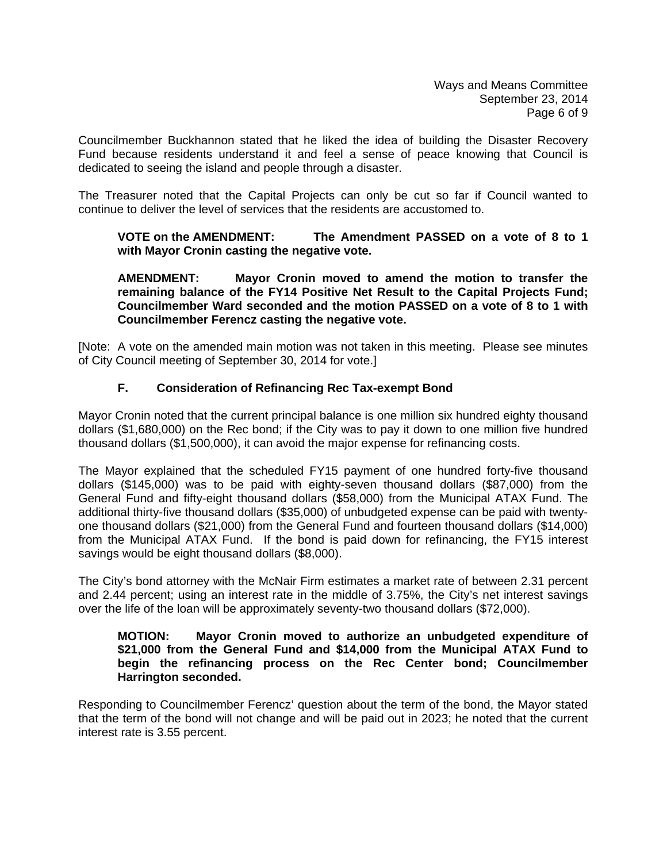Councilmember Buckhannon stated that he liked the idea of building the Disaster Recovery Fund because residents understand it and feel a sense of peace knowing that Council is dedicated to seeing the island and people through a disaster.

The Treasurer noted that the Capital Projects can only be cut so far if Council wanted to continue to deliver the level of services that the residents are accustomed to.

## **VOTE on the AMENDMENT: The Amendment PASSED on a vote of 8 to 1 with Mayor Cronin casting the negative vote.**

 **AMENDMENT: Mayor Cronin moved to amend the motion to transfer the remaining balance of the FY14 Positive Net Result to the Capital Projects Fund; Councilmember Ward seconded and the motion PASSED on a vote of 8 to 1 with Councilmember Ferencz casting the negative vote.** 

[Note: A vote on the amended main motion was not taken in this meeting. Please see minutes of City Council meeting of September 30, 2014 for vote.]

# **F. Consideration of Refinancing Rec Tax-exempt Bond**

Mayor Cronin noted that the current principal balance is one million six hundred eighty thousand dollars (\$1,680,000) on the Rec bond; if the City was to pay it down to one million five hundred thousand dollars (\$1,500,000), it can avoid the major expense for refinancing costs.

The Mayor explained that the scheduled FY15 payment of one hundred forty-five thousand dollars (\$145,000) was to be paid with eighty-seven thousand dollars (\$87,000) from the General Fund and fifty-eight thousand dollars (\$58,000) from the Municipal ATAX Fund. The additional thirty-five thousand dollars (\$35,000) of unbudgeted expense can be paid with twentyone thousand dollars (\$21,000) from the General Fund and fourteen thousand dollars (\$14,000) from the Municipal ATAX Fund. If the bond is paid down for refinancing, the FY15 interest savings would be eight thousand dollars (\$8,000).

The City's bond attorney with the McNair Firm estimates a market rate of between 2.31 percent and 2.44 percent; using an interest rate in the middle of 3.75%, the City's net interest savings over the life of the loan will be approximately seventy-two thousand dollars (\$72,000).

### **MOTION: Mayor Cronin moved to authorize an unbudgeted expenditure of \$21,000 from the General Fund and \$14,000 from the Municipal ATAX Fund to begin the refinancing process on the Rec Center bond; Councilmember Harrington seconded.**

Responding to Councilmember Ferencz' question about the term of the bond, the Mayor stated that the term of the bond will not change and will be paid out in 2023; he noted that the current interest rate is 3.55 percent.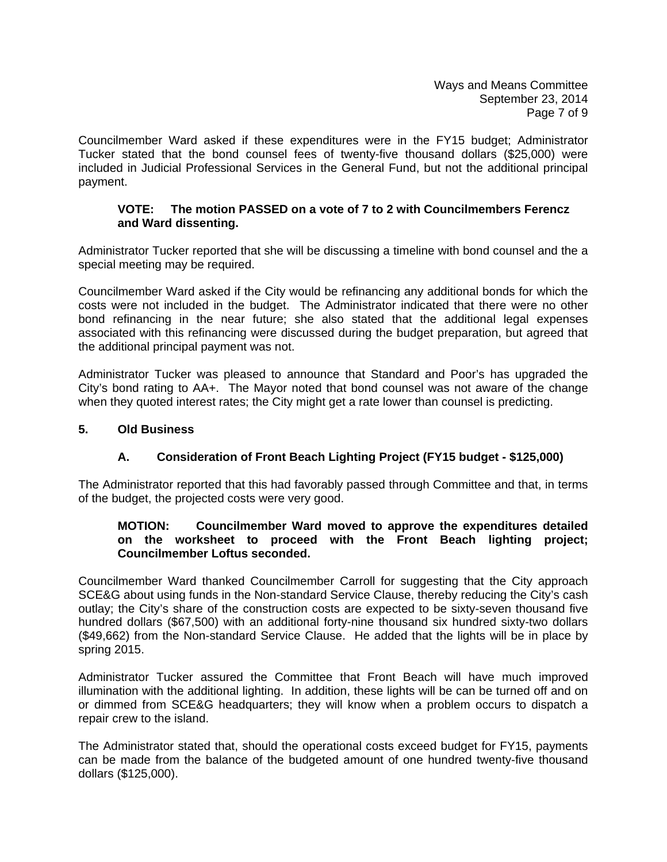Councilmember Ward asked if these expenditures were in the FY15 budget; Administrator Tucker stated that the bond counsel fees of twenty-five thousand dollars (\$25,000) were included in Judicial Professional Services in the General Fund, but not the additional principal payment.

## **VOTE: The motion PASSED on a vote of 7 to 2 with Councilmembers Ferencz and Ward dissenting.**

Administrator Tucker reported that she will be discussing a timeline with bond counsel and the a special meeting may be required.

Councilmember Ward asked if the City would be refinancing any additional bonds for which the costs were not included in the budget. The Administrator indicated that there were no other bond refinancing in the near future; she also stated that the additional legal expenses associated with this refinancing were discussed during the budget preparation, but agreed that the additional principal payment was not.

Administrator Tucker was pleased to announce that Standard and Poor's has upgraded the City's bond rating to AA+. The Mayor noted that bond counsel was not aware of the change when they quoted interest rates; the City might get a rate lower than counsel is predicting.

### **5. Old Business**

## **A. Consideration of Front Beach Lighting Project (FY15 budget - \$125,000)**

The Administrator reported that this had favorably passed through Committee and that, in terms of the budget, the projected costs were very good.

## **MOTION: Councilmember Ward moved to approve the expenditures detailed on the worksheet to proceed with the Front Beach lighting project; Councilmember Loftus seconded.**

Councilmember Ward thanked Councilmember Carroll for suggesting that the City approach SCE&G about using funds in the Non-standard Service Clause, thereby reducing the City's cash outlay; the City's share of the construction costs are expected to be sixty-seven thousand five hundred dollars (\$67,500) with an additional forty-nine thousand six hundred sixty-two dollars (\$49,662) from the Non-standard Service Clause. He added that the lights will be in place by spring 2015.

Administrator Tucker assured the Committee that Front Beach will have much improved illumination with the additional lighting. In addition, these lights will be can be turned off and on or dimmed from SCE&G headquarters; they will know when a problem occurs to dispatch a repair crew to the island.

The Administrator stated that, should the operational costs exceed budget for FY15, payments can be made from the balance of the budgeted amount of one hundred twenty-five thousand dollars (\$125,000).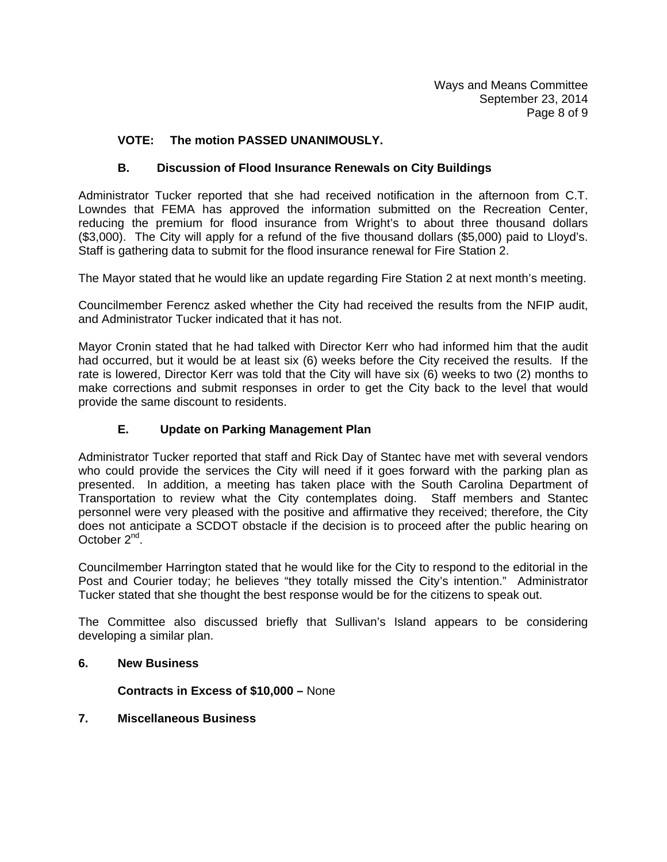# **VOTE: The motion PASSED UNANIMOUSLY.**

# **B. Discussion of Flood Insurance Renewals on City Buildings**

Administrator Tucker reported that she had received notification in the afternoon from C.T. Lowndes that FEMA has approved the information submitted on the Recreation Center, reducing the premium for flood insurance from Wright's to about three thousand dollars (\$3,000). The City will apply for a refund of the five thousand dollars (\$5,000) paid to Lloyd's. Staff is gathering data to submit for the flood insurance renewal for Fire Station 2.

The Mayor stated that he would like an update regarding Fire Station 2 at next month's meeting.

Councilmember Ferencz asked whether the City had received the results from the NFIP audit, and Administrator Tucker indicated that it has not.

Mayor Cronin stated that he had talked with Director Kerr who had informed him that the audit had occurred, but it would be at least six (6) weeks before the City received the results. If the rate is lowered, Director Kerr was told that the City will have six (6) weeks to two (2) months to make corrections and submit responses in order to get the City back to the level that would provide the same discount to residents.

### **E. Update on Parking Management Plan**

Administrator Tucker reported that staff and Rick Day of Stantec have met with several vendors who could provide the services the City will need if it goes forward with the parking plan as presented. In addition, a meeting has taken place with the South Carolina Department of Transportation to review what the City contemplates doing. Staff members and Stantec personnel were very pleased with the positive and affirmative they received; therefore, the City does not anticipate a SCDOT obstacle if the decision is to proceed after the public hearing on October 2<sup>nd</sup>.

Councilmember Harrington stated that he would like for the City to respond to the editorial in the Post and Courier today; he believes "they totally missed the City's intention." Administrator Tucker stated that she thought the best response would be for the citizens to speak out.

The Committee also discussed briefly that Sullivan's Island appears to be considering developing a similar plan.

#### **6. New Business**

 **Contracts in Excess of \$10,000 –** None

### **7. Miscellaneous Business**